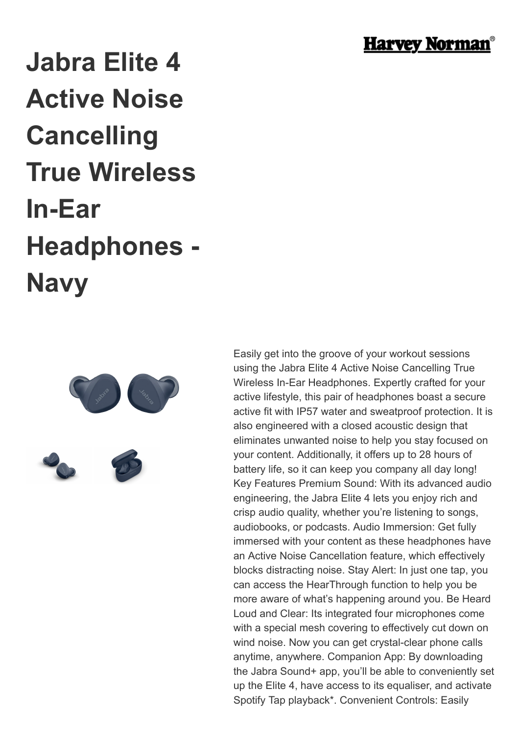

## **Jabra Elite 4 Active Noise Cancelling True Wireless In-Ear Headphones - Navy**



Easily get into the groove of your workout sessions using the Jabra Elite 4 Active Noise Cancelling True Wireless In-Ear Headphones. Expertly crafted for your active lifestyle, this pair of headphones boast a secure active fit with IP57 water and sweatproof protection. It is also engineered with a closed acoustic design that eliminates unwanted noise to help you stay focused on your content. Additionally, it offers up to 28 hours of battery life, so it can keep you company all day long! Key Features Premium Sound: With its advanced audio engineering, the Jabra Elite 4 lets you enjoy rich and crisp audio quality, whether you're listening to songs, audiobooks, or podcasts. Audio Immersion: Get fully immersed with your content as these headphones have an Active Noise Cancellation feature, which effectively blocks distracting noise. Stay Alert: In just one tap, you can access the HearThrough function to help you be more aware of what's happening around you. Be Heard Loud and Clear: Its integrated four microphones come with a special mesh covering to effectively cut down on wind noise. Now you can get crystal-clear phone calls anytime, anywhere. Companion App: By downloading the Jabra Sound+ app, you'll be able to conveniently set up the Elite 4, have access to its equaliser, and activate Spotify Tap playback\*. Convenient Controls: Easily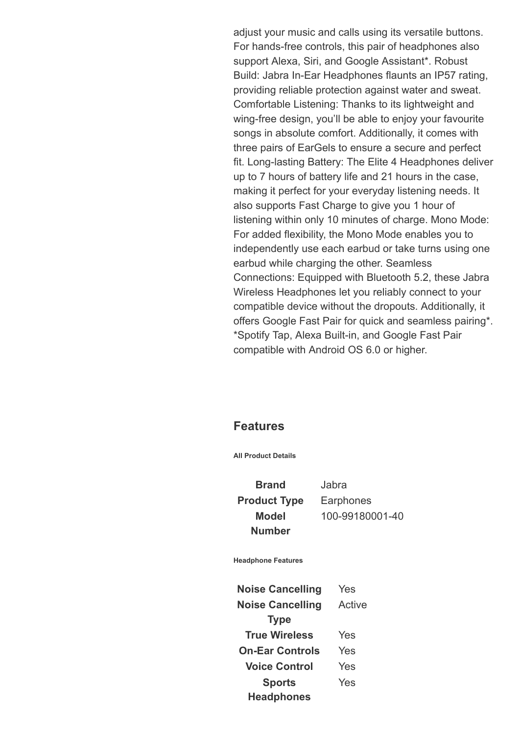adjust your music and calls using its versatile buttons. For hands-free controls, this pair of headphones also support Alexa, Siri, and Google Assistant\*. Robust Build: Jabra In-Ear Headphones flaunts an IP57 rating, providing reliable protection against water and sweat. Comfortable Listening: Thanks to its lightweight and wing-free design, you'll be able to enjoy your favourite songs in absolute comfort. Additionally, it comes with three pairs of EarGels to ensure a secure and perfect fit. Long-lasting Battery: The Elite 4 Headphones deliver up to 7 hours of battery life and 21 hours in the case, making it perfect for your everyday listening needs. It also supports Fast Charge to give you 1 hour of listening within only 10 minutes of charge. Mono Mode: For added flexibility, the Mono Mode enables you to independently use each earbud or take turns using one earbud while charging the other. Seamless Connections: Equipped with Bluetooth 5.2, these Jabra Wireless Headphones let you reliably connect to your compatible device without the dropouts. Additionally, it offers Google Fast Pair for quick and seamless pairing\*. \*Spotify Tap, Alexa Built-in, and Google Fast Pair compatible with Android OS 6.0 or higher.

## **Features**

**All Product Details**

**Brand** Jabra **Product Type** Earphones **Model Number**

100-99180001-40

**Headphone Features**

**Noise Cancelling** Yes **Noise Cancelling Type** Active **True Wireless** Yes **On-Ear Controls** Yes **Voice Control** Yes **Sports Headphones** Yes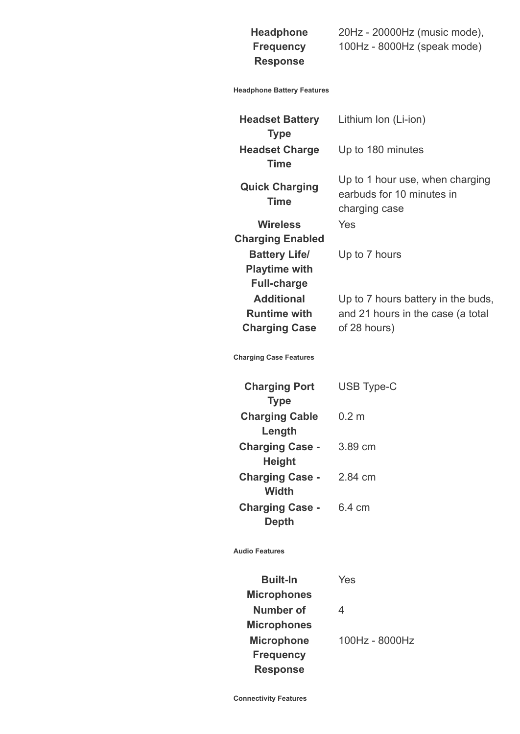## **Headphone Frequency Response**

20Hz - 20000Hz (music mode), 100Hz - 8000Hz (speak mode)

## **Headphone Battery Features**

| <b>Headset Battery</b><br><b>Type</b>                              | Lithium Ion (Li-ion)                                                                    |
|--------------------------------------------------------------------|-----------------------------------------------------------------------------------------|
| <b>Headset Charge</b><br><b>Time</b>                               | Up to 180 minutes                                                                       |
| <b>Quick Charging</b><br><b>Time</b>                               | Up to 1 hour use, when charging<br>earbuds for 10 minutes in<br>charging case           |
| <b>Wireless</b><br><b>Charging Enabled</b>                         | Yes                                                                                     |
| <b>Battery Life/</b><br><b>Playtime with</b><br><b>Full-charge</b> | Up to 7 hours                                                                           |
| <b>Additional</b><br><b>Runtime with</b><br><b>Charging Case</b>   | Up to 7 hours battery in the buds,<br>and 21 hours in the case (a total<br>of 28 hours) |
| <b>Charging Case Features</b>                                      |                                                                                         |
| <b>Charging Port</b><br><b>Type</b>                                | <b>USB Type-C</b>                                                                       |
| <b>Charging Cable</b><br>Length                                    | 0.2 <sub>m</sub>                                                                        |
| <b>Charging Case -</b><br><b>Height</b>                            | 3.89 cm                                                                                 |
| <b>Charging Case -</b><br><b>Width</b>                             | 2.84 cm                                                                                 |
| <b>Charging Case -</b><br><b>Depth</b>                             | 6.4 cm                                                                                  |
| <b>Audio Features</b>                                              |                                                                                         |
| <b>Built-In</b><br><b>Microphones</b>                              | Yes                                                                                     |
| <b>Number of</b><br><b>Microphones</b>                             | 4                                                                                       |
| <b>Microphone</b><br><b>Frequency</b><br><b>Response</b>           | 100Hz - 8000Hz                                                                          |

**Connectivity Features**